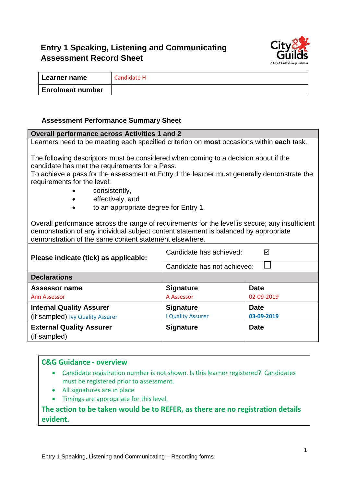## **Entry 1 Speaking, Listening and Communicating Assessment Record Sheet**



| Learner name            | Candidate H |
|-------------------------|-------------|
| <b>Enrolment number</b> |             |

#### **Assessment Performance Summary Sheet**

| <b>Overall performance across Activities 1 and 2</b>                                                                                                                                                                                                                                                                                             |                             |             |  |
|--------------------------------------------------------------------------------------------------------------------------------------------------------------------------------------------------------------------------------------------------------------------------------------------------------------------------------------------------|-----------------------------|-------------|--|
| Learners need to be meeting each specified criterion on most occasions within each task.                                                                                                                                                                                                                                                         |                             |             |  |
| The following descriptors must be considered when coming to a decision about if the<br>candidate has met the requirements for a Pass.<br>To achieve a pass for the assessment at Entry 1 the learner must generally demonstrate the<br>requirements for the level:<br>consistently,<br>effectively, and<br>to an appropriate degree for Entry 1. |                             |             |  |
| Overall performance across the range of requirements for the level is secure; any insufficient<br>demonstration of any individual subject content statement is balanced by appropriate<br>demonstration of the same content statement elsewhere.                                                                                                 |                             |             |  |
| Candidate has achieved:<br>⊠<br>Please indicate (tick) as applicable:                                                                                                                                                                                                                                                                            |                             |             |  |
|                                                                                                                                                                                                                                                                                                                                                  | Candidate has not achieved: |             |  |
| <b>Declarations</b>                                                                                                                                                                                                                                                                                                                              |                             |             |  |
| <b>Assessor name</b>                                                                                                                                                                                                                                                                                                                             | <b>Signature</b>            | <b>Date</b> |  |
| <b>Ann Assessor</b>                                                                                                                                                                                                                                                                                                                              | A Assessor                  | 02-09-2019  |  |
| <b>Internal Quality Assurer</b>                                                                                                                                                                                                                                                                                                                  | <b>Signature</b>            | <b>Date</b> |  |
| (if sampled) Ivy Quality Assurer                                                                                                                                                                                                                                                                                                                 | <b>I Quality Assurer</b>    | 03-09-2019  |  |
| <b>External Quality Assurer</b><br><b>Signature</b><br><b>Date</b><br>(if sampled)                                                                                                                                                                                                                                                               |                             |             |  |

#### **C&G Guidance - overview**

- Candidate registration number is not shown. Is this learner registered? Candidates must be registered prior to assessment.
- All signatures are in place
- Timings are appropriate for this level.

**The action to be taken would be to REFER, as there are no registration details evident.**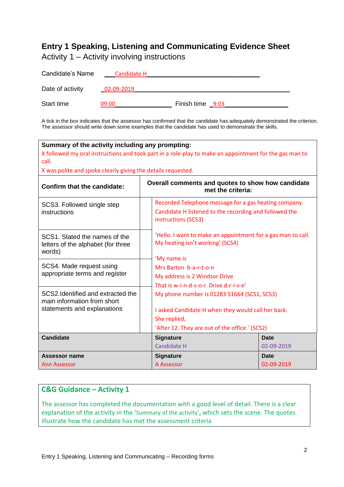# **Entry 1 Speaking, Listening and Communicating Evidence Sheet**

Activity 1 – Activity involving instructions

| Candidate's Name | Candidate H |                  |
|------------------|-------------|------------------|
| Date of activity | 02-09-2019  |                  |
| Start time       | 09:00       | Finish time 9:03 |

A tick in the box indicates that the assessor has confirmed that the candidate has adequately demonstrated the criterion. The assessor should write down some examples that the candidate has used to demonstrate the skills.

| Summary of the activity including any prompting:<br>call.<br>X was polite and spoke clearly giving the details requested. | X followed my oral instructions and took part in a role-play to make an appointment for the gas man to                                                                                                                                                                                  |                           |  |
|---------------------------------------------------------------------------------------------------------------------------|-----------------------------------------------------------------------------------------------------------------------------------------------------------------------------------------------------------------------------------------------------------------------------------------|---------------------------|--|
| Overall comments and quotes to show how candidate<br><b>Confirm that the candidate:</b><br>met the criteria:              |                                                                                                                                                                                                                                                                                         |                           |  |
| SCS3. Followed single step<br>instructions                                                                                | Recorded Telephone message for a gas heating company<br>Candidate H listened to the recording and followed the<br>instructions (SCS3)                                                                                                                                                   |                           |  |
| SCS1. Stated the names of the<br>letters of the alphabet (for three<br>words)                                             | 'Hello. I want to make an appointment for a gas man to call.<br>My heating isn't working' (SCS4)                                                                                                                                                                                        |                           |  |
| SCS4. Made request using<br>appropriate terms and register                                                                | 'My name is<br>Mrs Barton b-a-r-t-o-n<br>My address is 2 Windsor Drive<br>That is w-i-n-d-s-o-r Drive d-r-i-v-e'<br>My phone number is 01283 51664 (SCS1, SCS3)<br>I asked Candidate H when they would call her back.<br>She replied,<br>'After 12. They are out of the office.' (SCS2) |                           |  |
| SCS2. Identified and extracted the<br>main information from short<br>statements and explanations                          |                                                                                                                                                                                                                                                                                         |                           |  |
| <b>Candidate</b>                                                                                                          | <b>Signature</b><br><b>Candidate H</b>                                                                                                                                                                                                                                                  | <b>Date</b><br>02-09-2019 |  |
| Assessor name<br><b>Ann Assessor</b>                                                                                      | <b>Signature</b><br>A Assessor                                                                                                                                                                                                                                                          | <b>Date</b><br>02-09-2019 |  |

### **C&G Guidance – Activity 1**

The assessor has completed the documentation with a good level of detail. There is a clear explanation of the activity in the 'Summary of the activity'**,** which sets the scene. The quotes illustrate how the candidate has met the assessment criteria